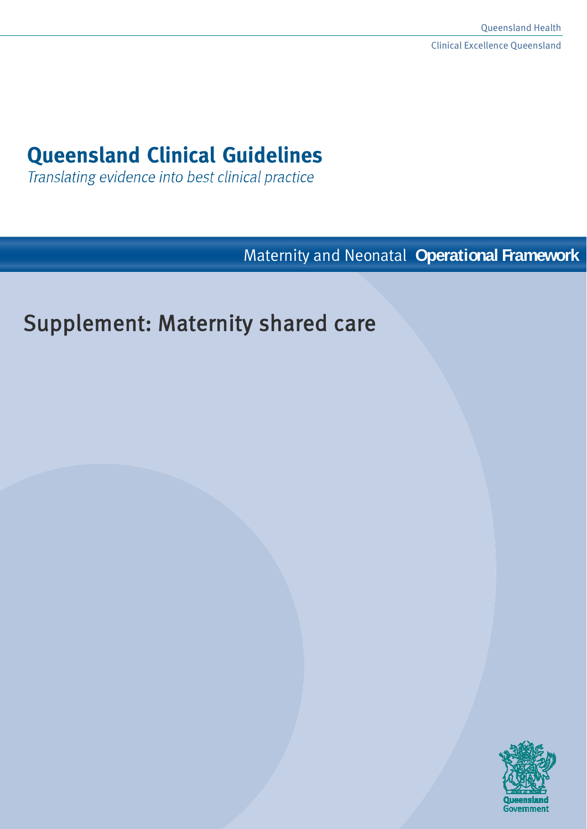# **Queensland Clinical Guidelines**

Translating evidence into best clinical practice

Maternity and Neonatal **Operational Framework**

# Supplement: Maternity shared care

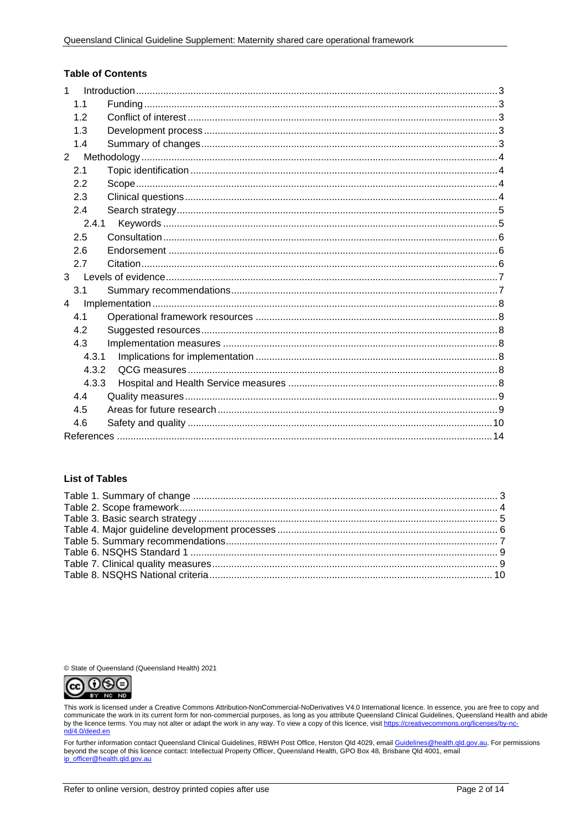#### **Table of Contents**

| 1              |  |
|----------------|--|
| 1.1            |  |
| 1.2            |  |
| 1.3            |  |
| 1.4            |  |
| 2              |  |
| 2.1            |  |
| 2.2            |  |
| 2.3            |  |
| 2.4            |  |
| 2.4.1          |  |
| 2.5            |  |
| 2.6            |  |
| 2.7            |  |
| 3 <sup>1</sup> |  |
| 3.1            |  |
| $\overline{4}$ |  |
| 4.1            |  |
| 4.2            |  |
| 4.3            |  |
| 4.3.1          |  |
| 4.3.2          |  |
| 4.3.3          |  |
| 4.4            |  |
| 4.5            |  |
| 4.6            |  |
|                |  |

#### **List of Tables**

© State of Queensland (Queensland Health) 2021



This work is licensed under a Creative Commons Attribution-NonCommercial-NoDerivatives V4.0 International licence. In essence, you are free to copy and communicate the work in its current form for non-commercial purposes, as long as you attribute Queensland Clinical Guidelines, Queensland Health and abide by the licence terms. You may not alter or adapt the work in any way. To view a copy of this licence, visit https://creativecommons.org/licenses/by-nc nd/4.0/deed.en

For further information contact Queensland Clinical Guidelines, RBWH Post Office, Herston Qld 4029, email Guidelines@health.gld.gov.au, For permissions beyond the scope of this licence contact: Intellectual Property Officer, Queensland Health, GPO Box 48, Brisbane Qld 4001, email ip officer@health.qld.gov.au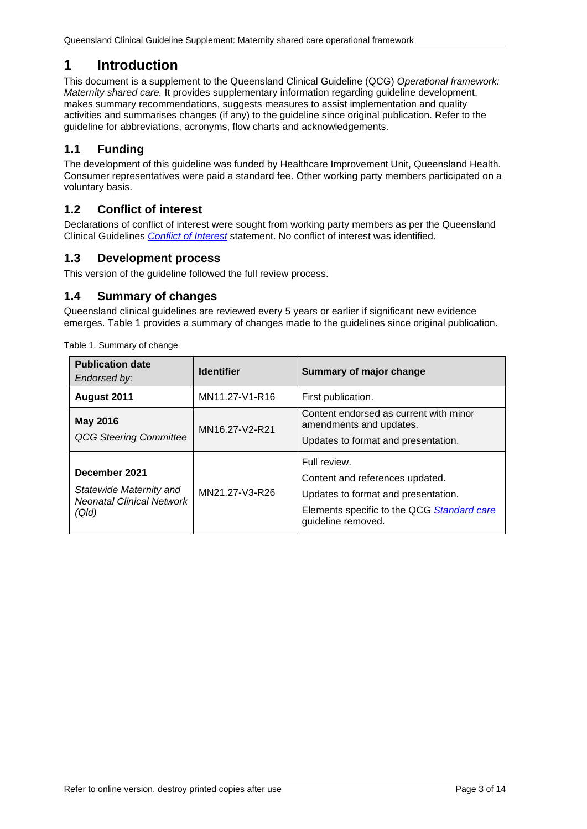# <span id="page-2-0"></span>**1 Introduction**

This document is a supplement to the Queensland Clinical Guideline (QCG) *Operational framework: Maternity shared care.* It provides supplementary information regarding guideline development, makes summary recommendations, suggests measures to assist implementation and quality activities and summarises changes (if any) to the guideline since original publication. Refer to the guideline for abbreviations, acronyms, flow charts and acknowledgements.

# <span id="page-2-1"></span>**1.1 Funding**

The development of this guideline was funded by Healthcare Improvement Unit, Queensland Health. Consumer representatives were paid a standard fee. Other working party members participated on a voluntary basis.

## <span id="page-2-2"></span>**1.2 Conflict of interest**

Declarations of conflict of interest were sought from working party members as per the Queensland Clinical Guidelines *[Conflict of Interest](http://www.health.qld.gov.au/qcg/development#coi)* statement. No conflict of interest was identified.

#### <span id="page-2-3"></span>**1.3 Development process**

<span id="page-2-4"></span>This version of the guideline followed the full review process.

#### **1.4 Summary of changes**

Queensland clinical guidelines are reviewed every 5 years or earlier if significant new evidence emerges. [Table 1](#page-2-5) provides a summary of changes made to the guidelines since original publication.

| <b>Publication date</b><br>Endorsed by:                                               | <b>Identifier</b> | Summary of major change                                                                                                                                    |
|---------------------------------------------------------------------------------------|-------------------|------------------------------------------------------------------------------------------------------------------------------------------------------------|
| August 2011                                                                           | MN11.27-V1-R16    | First publication.                                                                                                                                         |
| <b>May 2016</b><br><b>QCG Steering Committee</b>                                      | MN16.27-V2-R21    | Content endorsed as current with minor<br>amendments and updates.<br>Updates to format and presentation.                                                   |
| December 2021<br>Statewide Maternity and<br><b>Neonatal Clinical Network</b><br>(Q/d) | MN21.27-V3-R26    | Full review.<br>Content and references updated.<br>Updates to format and presentation.<br>Elements specific to the QCG Standard care<br>quideline removed. |

<span id="page-2-5"></span>Table 1. Summary of change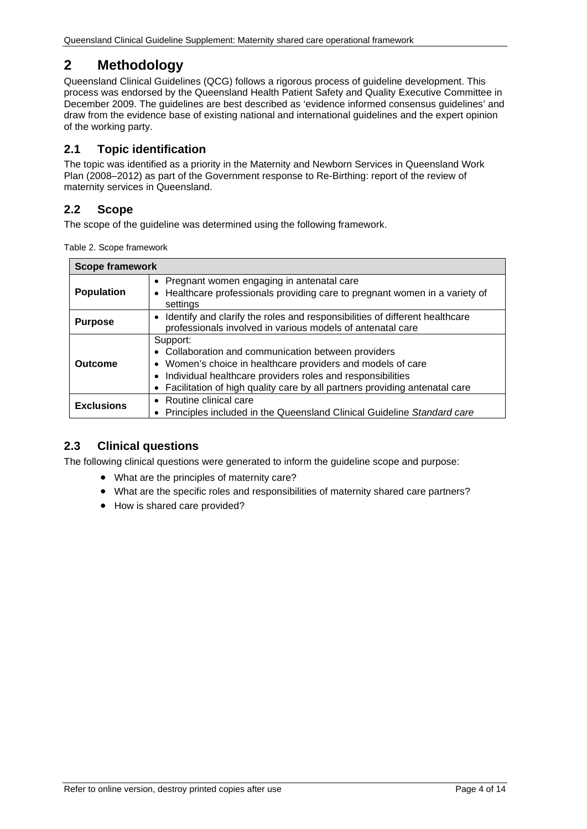# <span id="page-3-0"></span>**2 Methodology**

Queensland Clinical Guidelines (QCG) follows a rigorous process of guideline development. This process was endorsed by the Queensland Health Patient Safety and Quality Executive Committee in December 2009. The guidelines are best described as 'evidence informed consensus guidelines' and draw from the evidence base of existing national and international guidelines and the expert opinion of the working party.

## <span id="page-3-1"></span>**2.1 Topic identification**

The topic was identified as a priority in the Maternity and Newborn Services in Queensland Work Plan (2008–2012) as part of the Government response to Re-Birthing: report of the review of maternity services in Queensland.

## <span id="page-3-2"></span>**2.2 Scope**

<span id="page-3-4"></span>The scope of the guideline was determined using the following framework.

| Table 2. Scope framework |  |
|--------------------------|--|
|--------------------------|--|

| <b>Scope framework</b> |                                                                                                                                                                                                                                                                              |  |
|------------------------|------------------------------------------------------------------------------------------------------------------------------------------------------------------------------------------------------------------------------------------------------------------------------|--|
| <b>Population</b>      | • Pregnant women engaging in antenatal care<br>Healthcare professionals providing care to pregnant women in a variety of<br>settings                                                                                                                                         |  |
| <b>Purpose</b>         | Identify and clarify the roles and responsibilities of different healthcare<br>professionals involved in various models of antenatal care                                                                                                                                    |  |
| <b>Outcome</b>         | Support:<br>• Collaboration and communication between providers<br>• Women's choice in healthcare providers and models of care<br>Individual healthcare providers roles and responsibilities<br>• Facilitation of high quality care by all partners providing antenatal care |  |
| <b>Exclusions</b>      | Routine clinical care<br>$\bullet$<br>• Principles included in the Queensland Clinical Guideline Standard care                                                                                                                                                               |  |

## <span id="page-3-3"></span>**2.3 Clinical questions**

The following clinical questions were generated to inform the guideline scope and purpose:

- What are the principles of maternity care?
- What are the specific roles and responsibilities of maternity shared care partners?
- How is shared care provided?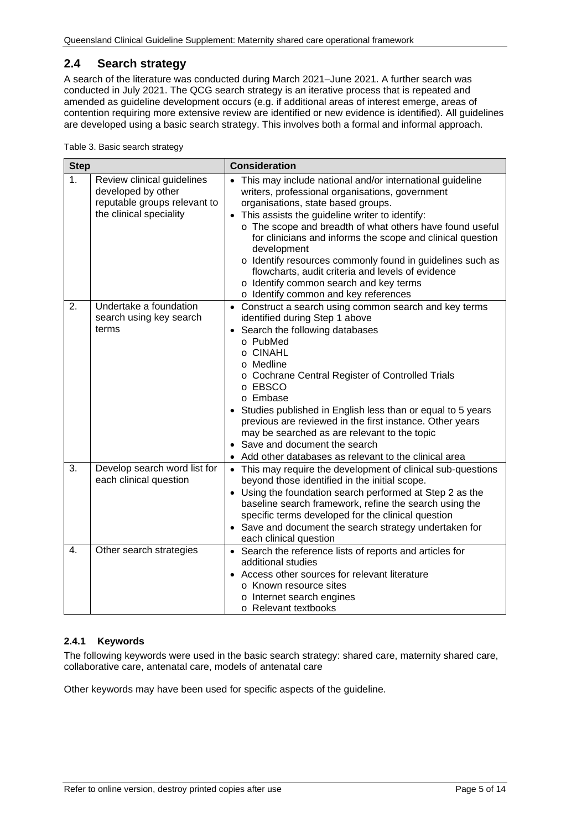## <span id="page-4-0"></span>**2.4 Search strategy**

A search of the literature was conducted during March 2021–June 2021. A further search was conducted in July 2021. The QCG search strategy is an iterative process that is repeated and amended as guideline development occurs (e.g. if additional areas of interest emerge, areas of contention requiring more extensive review are identified or new evidence is identified). All guidelines are developed using a basic search strategy. This involves both a formal and informal approach.

<span id="page-4-2"></span>

| Table 3. Basic search strategy |  |  |  |
|--------------------------------|--|--|--|
|--------------------------------|--|--|--|

| <b>Step</b> |                                                                                                             | <b>Consideration</b>                                                                                                                                                                                                                                                                                                                                                                                                                                                                                                                                            |
|-------------|-------------------------------------------------------------------------------------------------------------|-----------------------------------------------------------------------------------------------------------------------------------------------------------------------------------------------------------------------------------------------------------------------------------------------------------------------------------------------------------------------------------------------------------------------------------------------------------------------------------------------------------------------------------------------------------------|
| 1.          | Review clinical guidelines<br>developed by other<br>reputable groups relevant to<br>the clinical speciality | This may include national and/or international guideline<br>$\bullet$<br>writers, professional organisations, government<br>organisations, state based groups.<br>• This assists the guideline writer to identify:<br>o The scope and breadth of what others have found useful<br>for clinicians and informs the scope and clinical question<br>development<br>o Identify resources commonly found in guidelines such as<br>flowcharts, audit criteria and levels of evidence<br>o Identify common search and key terms<br>o Identify common and key references |
| 2.          | Undertake a foundation<br>search using key search<br>terms                                                  | • Construct a search using common search and key terms<br>identified during Step 1 above<br>Search the following databases<br>$\bullet$<br>o PubMed<br>o CINAHL<br>o Medline<br>o Cochrane Central Register of Controlled Trials<br>o EBSCO<br>o Embase<br>Studies published in English less than or equal to 5 years<br>previous are reviewed in the first instance. Other years<br>may be searched as are relevant to the topic<br>• Save and document the search<br>Add other databases as relevant to the clinical area                                     |
| 3.          | Develop search word list for<br>each clinical question                                                      | • This may require the development of clinical sub-questions<br>beyond those identified in the initial scope.<br>• Using the foundation search performed at Step 2 as the<br>baseline search framework, refine the search using the<br>specific terms developed for the clinical question<br>• Save and document the search strategy undertaken for<br>each clinical question                                                                                                                                                                                   |
| 4.          | Other search strategies                                                                                     | • Search the reference lists of reports and articles for<br>additional studies<br>Access other sources for relevant literature<br>o Known resource sites<br>o Internet search engines<br>o Relevant textbooks                                                                                                                                                                                                                                                                                                                                                   |

#### <span id="page-4-1"></span>**2.4.1 Keywords**

The following keywords were used in the basic search strategy: shared care, maternity shared care, collaborative care, antenatal care, models of antenatal care

Other keywords may have been used for specific aspects of the guideline.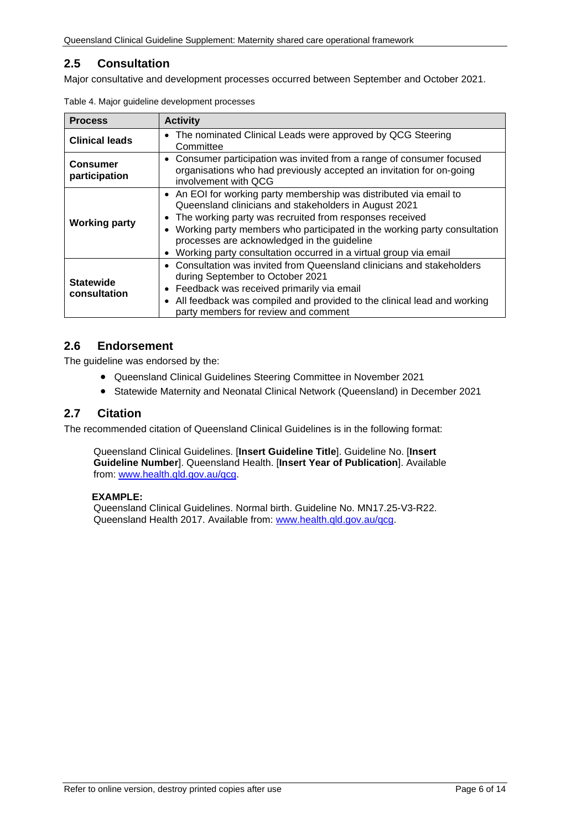## <span id="page-5-0"></span>**2.5 Consultation**

<span id="page-5-3"></span>Major consultative and development processes occurred between September and October 2021.

| <b>Activity</b><br><b>Process</b>                                                                                                                                                                                    |                                                                                                                                                                                                                                                                                                                                                                                                                 |
|----------------------------------------------------------------------------------------------------------------------------------------------------------------------------------------------------------------------|-----------------------------------------------------------------------------------------------------------------------------------------------------------------------------------------------------------------------------------------------------------------------------------------------------------------------------------------------------------------------------------------------------------------|
| The nominated Clinical Leads were approved by QCG Steering<br>$\bullet$<br><b>Clinical leads</b><br>Committee                                                                                                        |                                                                                                                                                                                                                                                                                                                                                                                                                 |
| Consumer participation was invited from a range of consumer focused<br>$\bullet$<br><b>Consumer</b><br>organisations who had previously accepted an invitation for on-going<br>participation<br>involvement with QCG |                                                                                                                                                                                                                                                                                                                                                                                                                 |
| <b>Working party</b>                                                                                                                                                                                                 | • An EOI for working party membership was distributed via email to<br>Queensland clinicians and stakeholders in August 2021<br>The working party was recruited from responses received<br>Working party members who participated in the working party consultation<br>$\bullet$<br>processes are acknowledged in the guideline<br>Working party consultation occurred in a virtual group via email<br>$\bullet$ |
| <b>Statewide</b><br>consultation                                                                                                                                                                                     | • Consultation was invited from Queensland clinicians and stakeholders<br>during September to October 2021<br>Feedback was received primarily via email<br>$\bullet$<br>All feedback was compiled and provided to the clinical lead and working<br>party members for review and comment                                                                                                                         |

Table 4. Major guideline development processes

## <span id="page-5-1"></span>**2.6 Endorsement**

The guideline was endorsed by the:

- Queensland Clinical Guidelines Steering Committee in November 2021
- Statewide Maternity and Neonatal Clinical Network (Queensland) in December 2021

#### <span id="page-5-2"></span>**2.7 Citation**

The recommended citation of Queensland Clinical Guidelines is in the following format:

Queensland Clinical Guidelines. [**Insert Guideline Title**]. Guideline No. [**Insert Guideline Number**]. Queensland Health. [**Insert Year of Publication**]. Available from: [www.health.qld.gov.au/qcg.](http://www.health.qld.gov.au/qcg)

#### **EXAMPLE:**

Queensland Clinical Guidelines. Normal birth. Guideline No. MN17.25-V3-R22. Queensland Health 2017. Available from: [www.health.qld.gov.au/qcg.](http://www.health.qld.gov.au/qcg)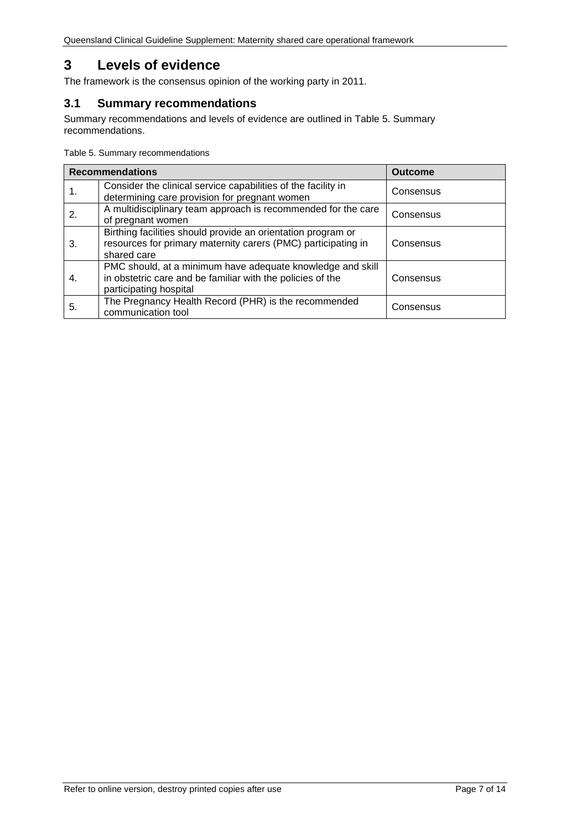# <span id="page-6-0"></span>**3 Levels of evidence**

The framework is the consensus opinion of the working party in 2011.

# <span id="page-6-1"></span>**3.1 Summary recommendations**

Summary recommendations and levels of evidence are outlined in Table 5. [Summary](#page-6-2)  [recommendations.](#page-6-2)

<span id="page-6-2"></span>Table 5. Summary recommendations

| <b>Recommendations</b> |                                                                                                                                                    | <b>Outcome</b> |
|------------------------|----------------------------------------------------------------------------------------------------------------------------------------------------|----------------|
|                        | Consider the clinical service capabilities of the facility in<br>determining care provision for pregnant women                                     | Consensus      |
| 2.                     | A multidisciplinary team approach is recommended for the care<br>of pregnant women                                                                 | Consensus      |
| 3.                     | Birthing facilities should provide an orientation program or<br>resources for primary maternity carers (PMC) participating in<br>shared care       | Consensus      |
| 4.                     | PMC should, at a minimum have adequate knowledge and skill<br>in obstetric care and be familiar with the policies of the<br>participating hospital | Consensus      |
| 5.                     | The Pregnancy Health Record (PHR) is the recommended<br>communication tool                                                                         | Consensus      |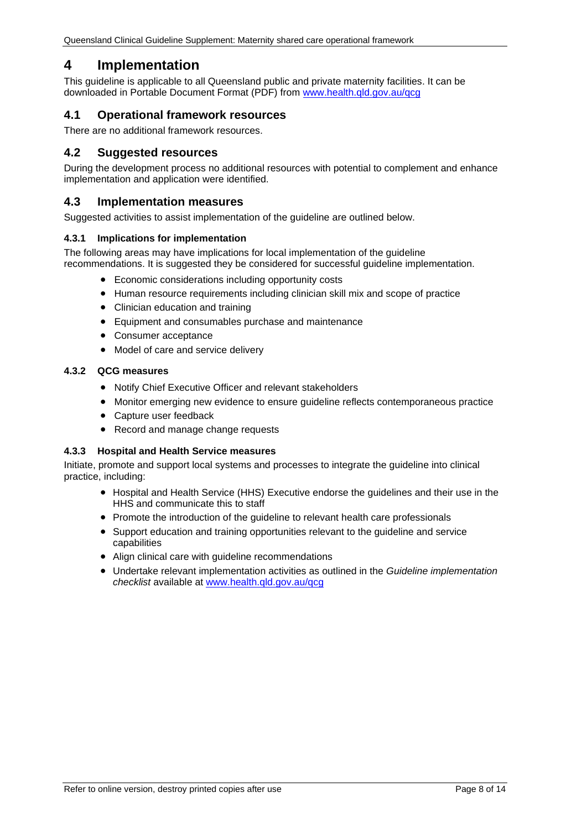# <span id="page-7-0"></span>**4 Implementation**

This guideline is applicable to all Queensland public and private maternity facilities. It can be downloaded in Portable Document Format (PDF) from [www.health.qld.gov.au/qcg](http://www.health.qld.gov.au/qcg)

#### <span id="page-7-1"></span>**4.1 Operational framework resources**

<span id="page-7-2"></span>There are no additional framework resources.

#### **4.2 Suggested resources**

During the development process no additional resources with potential to complement and enhance implementation and application were identified.

#### <span id="page-7-3"></span>**4.3 Implementation measures**

Suggested activities to assist implementation of the guideline are outlined below.

#### <span id="page-7-4"></span>**4.3.1 Implications for implementation**

The following areas may have implications for local implementation of the guideline recommendations. It is suggested they be considered for successful guideline implementation.

- Economic considerations including opportunity costs
- Human resource requirements including clinician skill mix and scope of practice
- Clinician education and training
- Equipment and consumables purchase and maintenance
- Consumer acceptance
- Model of care and service delivery

#### <span id="page-7-5"></span>**4.3.2 QCG measures**

- Notify Chief Executive Officer and relevant stakeholders
- Monitor emerging new evidence to ensure guideline reflects contemporaneous practice
- Capture user feedback
- Record and manage change requests

#### <span id="page-7-6"></span>**4.3.3 Hospital and Health Service measures**

Initiate, promote and support local systems and processes to integrate the guideline into clinical practice, including:

- Hospital and Health Service (HHS) Executive endorse the guidelines and their use in the HHS and communicate this to staff
- Promote the introduction of the guideline to relevant health care professionals
- Support education and training opportunities relevant to the guideline and service capabilities
- Align clinical care with guideline recommendations
- Undertake relevant implementation activities as outlined in the *Guideline implementation checklist* available at [www.health.qld.gov.au/qcg](http://www.health.qld.gov.au/qcg)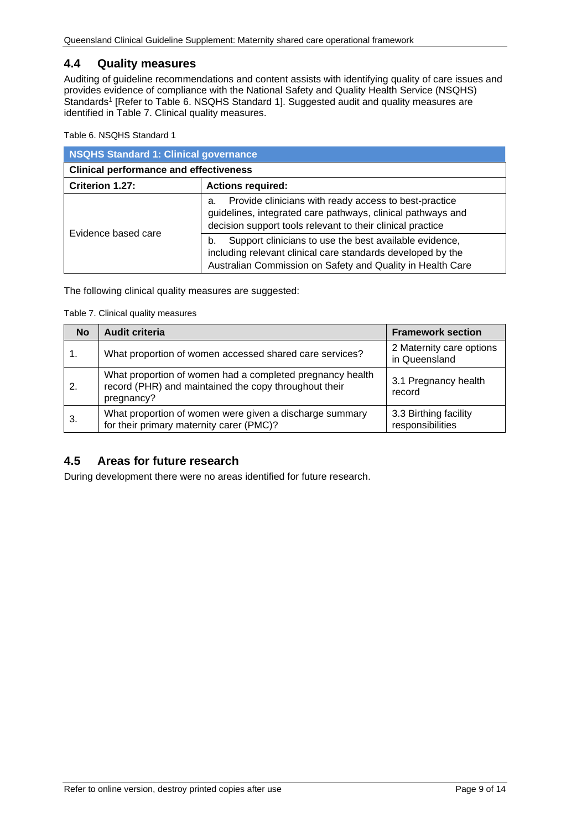#### <span id="page-8-0"></span>**4.4 Quality measures**

Auditing of guideline recommendations and content assists with identifying quality of care issues and provides evidence of compliance with the National Safety and Quality Health Service (NSQHS) Standards<sup>1</sup> [Refer to Table 6. [NSQHS Standard 1\]](#page-8-2). Suggested audit and quality measures are identified in [Table 7. Clinical quality measures.](#page-8-3)

<span id="page-8-2"></span>Table 6. NSQHS Standard 1

| NSQHS Standard 1: Clinical governance         |                                                                                                                                                                                           |  |
|-----------------------------------------------|-------------------------------------------------------------------------------------------------------------------------------------------------------------------------------------------|--|
| <b>Clinical performance and effectiveness</b> |                                                                                                                                                                                           |  |
| Criterion 1.27:                               | <b>Actions required:</b>                                                                                                                                                                  |  |
| Evidence based care                           | Provide clinicians with ready access to best-practice<br>а.<br>guidelines, integrated care pathways, clinical pathways and<br>decision support tools relevant to their clinical practice  |  |
|                                               | Support clinicians to use the best available evidence,<br>b.<br>including relevant clinical care standards developed by the<br>Australian Commission on Safety and Quality in Health Care |  |

<span id="page-8-3"></span>The following clinical quality measures are suggested:

Table 7. Clinical quality measures

| <b>No</b> | <b>Audit criteria</b>                                                                                                            | <b>Framework section</b>                  |
|-----------|----------------------------------------------------------------------------------------------------------------------------------|-------------------------------------------|
| 1.        | What proportion of women accessed shared care services?                                                                          | 2 Maternity care options<br>in Queensland |
| 2.        | What proportion of women had a completed pregnancy health<br>record (PHR) and maintained the copy throughout their<br>pregnancy? | 3.1 Pregnancy health<br>record            |
| 3.        | What proportion of women were given a discharge summary<br>for their primary maternity carer (PMC)?                              | 3.3 Birthing facility<br>responsibilities |

## <span id="page-8-1"></span>**4.5 Areas for future research**

During development there were no areas identified for future research.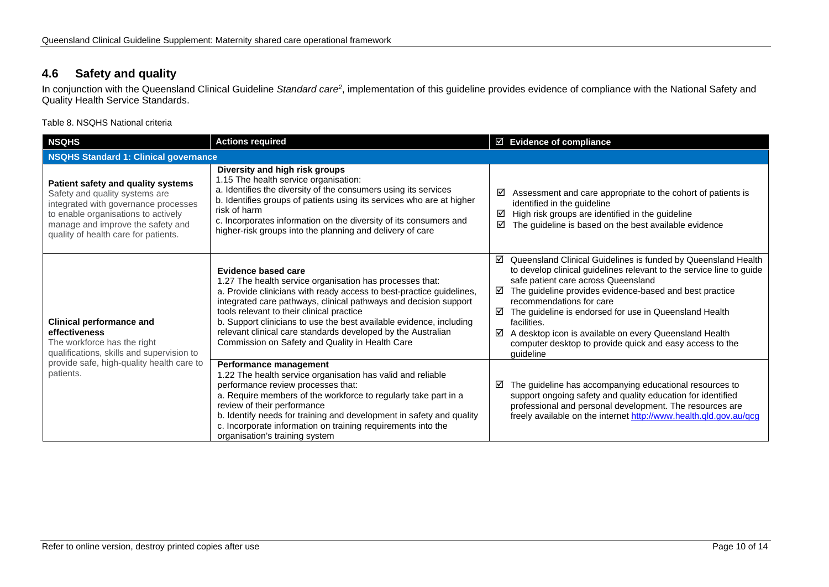## **4.6 Safety and quality**

In conjunction with the Queensland Clinical Guideline *Standard care2*, implementation of this guideline provides evidence of compliance with the National Safety and Quality Health Service Standards.

Table 8. NSQHS National criteria

<span id="page-9-1"></span><span id="page-9-0"></span>

| <b>NSQHS</b>                                                                                                                                                                                                                     | <b>Actions required</b>                                                                                                                                                                                                                                                                                                                                                                                                                                                   | $\boxtimes$ Evidence of compliance                                                                                                                                                                                                                                                                                                                                                                                                                                                                  |  |
|----------------------------------------------------------------------------------------------------------------------------------------------------------------------------------------------------------------------------------|---------------------------------------------------------------------------------------------------------------------------------------------------------------------------------------------------------------------------------------------------------------------------------------------------------------------------------------------------------------------------------------------------------------------------------------------------------------------------|-----------------------------------------------------------------------------------------------------------------------------------------------------------------------------------------------------------------------------------------------------------------------------------------------------------------------------------------------------------------------------------------------------------------------------------------------------------------------------------------------------|--|
| <b>NSQHS Standard 1: Clinical governance</b>                                                                                                                                                                                     |                                                                                                                                                                                                                                                                                                                                                                                                                                                                           |                                                                                                                                                                                                                                                                                                                                                                                                                                                                                                     |  |
| Patient safety and quality systems<br>Safety and quality systems are<br>integrated with governance processes<br>to enable organisations to actively<br>manage and improve the safety and<br>quality of health care for patients. | Diversity and high risk groups<br>1.15 The health service organisation:<br>a. Identifies the diversity of the consumers using its services<br>b. Identifies groups of patients using its services who are at higher<br>risk of harm<br>c. Incorporates information on the diversity of its consumers and<br>higher-risk groups into the planning and delivery of care                                                                                                     | Assessment and care appropriate to the cohort of patients is<br>⊻<br>identified in the guideline<br>High risk groups are identified in the guideline<br>☑<br>The guideline is based on the best available evidence<br>☑                                                                                                                                                                                                                                                                             |  |
| <b>Clinical performance and</b><br>effectiveness<br>The workforce has the right<br>qualifications, skills and supervision to                                                                                                     | <b>Evidence based care</b><br>1.27 The health service organisation has processes that:<br>a. Provide clinicians with ready access to best-practice guidelines,<br>integrated care pathways, clinical pathways and decision support<br>tools relevant to their clinical practice<br>b. Support clinicians to use the best available evidence, including<br>relevant clinical care standards developed by the Australian<br>Commission on Safety and Quality in Health Care | Queensland Clinical Guidelines is funded by Queensland Health<br>☑<br>to develop clinical guidelines relevant to the service line to guide<br>safe patient care across Queensland<br>The guideline provides evidence-based and best practice<br>☑<br>recommendations for care<br>☑<br>The guideline is endorsed for use in Queensland Health<br>facilities.<br>A desktop icon is available on every Queensland Health<br>☑<br>computer desktop to provide quick and easy access to the<br>guideline |  |
| provide safe, high-quality health care to<br>patients.                                                                                                                                                                           | Performance management<br>1.22 The health service organisation has valid and reliable<br>performance review processes that:<br>a. Require members of the workforce to regularly take part in a<br>review of their performance<br>b. Identify needs for training and development in safety and quality<br>c. Incorporate information on training requirements into the<br>organisation's training system                                                                   | The guideline has accompanying educational resources to<br>☑<br>support ongoing safety and quality education for identified<br>professional and personal development. The resources are<br>freely available on the internet http://www.health.qld.gov.au/qcg                                                                                                                                                                                                                                        |  |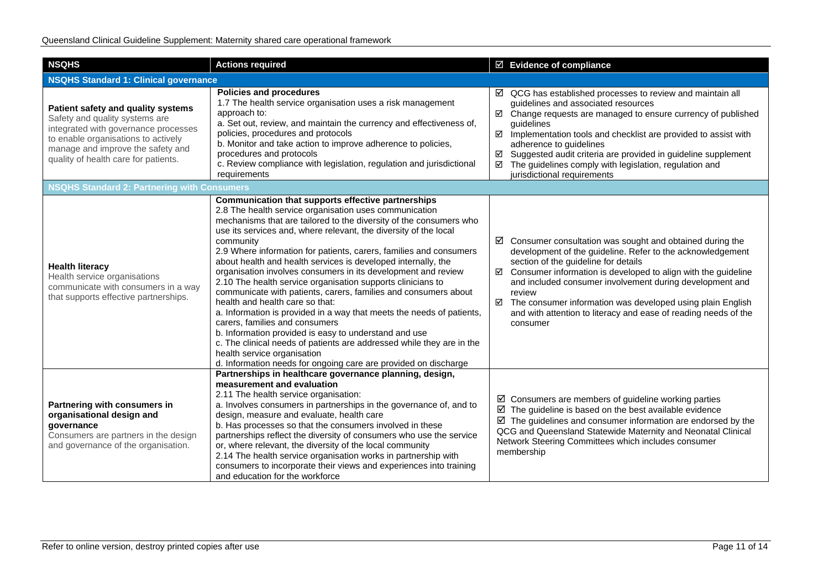| <b>NSQHS</b>                                                                                                                                                                                                                     | <b>Actions required</b>                                                                                                                                                                                                                                                                                                                                                                                                                                                                                                                                                                                                                                                                                                                                                                                                                                                                                                                                                                         | $\boxdot$ Evidence of compliance                                                                                                                                                                                                                                                                                                                                                                                                                                      |  |  |
|----------------------------------------------------------------------------------------------------------------------------------------------------------------------------------------------------------------------------------|-------------------------------------------------------------------------------------------------------------------------------------------------------------------------------------------------------------------------------------------------------------------------------------------------------------------------------------------------------------------------------------------------------------------------------------------------------------------------------------------------------------------------------------------------------------------------------------------------------------------------------------------------------------------------------------------------------------------------------------------------------------------------------------------------------------------------------------------------------------------------------------------------------------------------------------------------------------------------------------------------|-----------------------------------------------------------------------------------------------------------------------------------------------------------------------------------------------------------------------------------------------------------------------------------------------------------------------------------------------------------------------------------------------------------------------------------------------------------------------|--|--|
| <b>NSQHS Standard 1: Clinical governance</b>                                                                                                                                                                                     |                                                                                                                                                                                                                                                                                                                                                                                                                                                                                                                                                                                                                                                                                                                                                                                                                                                                                                                                                                                                 |                                                                                                                                                                                                                                                                                                                                                                                                                                                                       |  |  |
| Patient safety and quality systems<br>Safety and quality systems are<br>integrated with governance processes<br>to enable organisations to actively<br>manage and improve the safety and<br>quality of health care for patients. | <b>Policies and procedures</b><br>1.7 The health service organisation uses a risk management<br>approach to:<br>a. Set out, review, and maintain the currency and effectiveness of,<br>policies, procedures and protocols<br>b. Monitor and take action to improve adherence to policies,<br>procedures and protocols<br>c. Review compliance with legislation, regulation and jurisdictional<br>requirements                                                                                                                                                                                                                                                                                                                                                                                                                                                                                                                                                                                   | $\boxtimes$ QCG has established processes to review and maintain all<br>guidelines and associated resources<br>Change requests are managed to ensure currency of published<br>☑<br>guidelines<br>☑<br>Implementation tools and checklist are provided to assist with<br>adherence to guidelines<br>Suggested audit criteria are provided in guideline supplement<br>☑<br>The guidelines comply with legislation, regulation and<br>☑<br>jurisdictional requirements   |  |  |
| <b>NSQHS Standard 2: Partnering with Consumers</b>                                                                                                                                                                               |                                                                                                                                                                                                                                                                                                                                                                                                                                                                                                                                                                                                                                                                                                                                                                                                                                                                                                                                                                                                 |                                                                                                                                                                                                                                                                                                                                                                                                                                                                       |  |  |
| <b>Health literacy</b><br>Health service organisations<br>communicate with consumers in a way<br>that supports effective partnerships.                                                                                           | Communication that supports effective partnerships<br>2.8 The health service organisation uses communication<br>mechanisms that are tailored to the diversity of the consumers who<br>use its services and, where relevant, the diversity of the local<br>community<br>2.9 Where information for patients, carers, families and consumers<br>about health and health services is developed internally, the<br>organisation involves consumers in its development and review<br>2.10 The health service organisation supports clinicians to<br>communicate with patients, carers, families and consumers about<br>health and health care so that:<br>a. Information is provided in a way that meets the needs of patients,<br>carers, families and consumers<br>b. Information provided is easy to understand and use<br>c. The clinical needs of patients are addressed while they are in the<br>health service organisation<br>d. Information needs for ongoing care are provided on discharge | $\boxtimes$ Consumer consultation was sought and obtained during the<br>development of the guideline. Refer to the acknowledgement<br>section of the guideline for details<br>Consumer information is developed to align with the guideline<br>☑<br>and included consumer involvement during development and<br>review<br>☑ The consumer information was developed using plain English<br>and with attention to literacy and ease of reading needs of the<br>consumer |  |  |
| Partnering with consumers in<br>organisational design and<br>governance<br>Consumers are partners in the design<br>and governance of the organisation.                                                                           | Partnerships in healthcare governance planning, design,<br>measurement and evaluation<br>2.11 The health service organisation:<br>a. Involves consumers in partnerships in the governance of, and to<br>design, measure and evaluate, health care<br>b. Has processes so that the consumers involved in these<br>partnerships reflect the diversity of consumers who use the service<br>or, where relevant, the diversity of the local community<br>2.14 The health service organisation works in partnership with<br>consumers to incorporate their views and experiences into training<br>and education for the workforce                                                                                                                                                                                                                                                                                                                                                                     | $\boxtimes$ Consumers are members of guideline working parties<br>$\boxtimes$ The guideline is based on the best available evidence<br>$\boxtimes$ The guidelines and consumer information are endorsed by the<br>QCG and Queensland Statewide Maternity and Neonatal Clinical<br>Network Steering Committees which includes consumer<br>membership                                                                                                                   |  |  |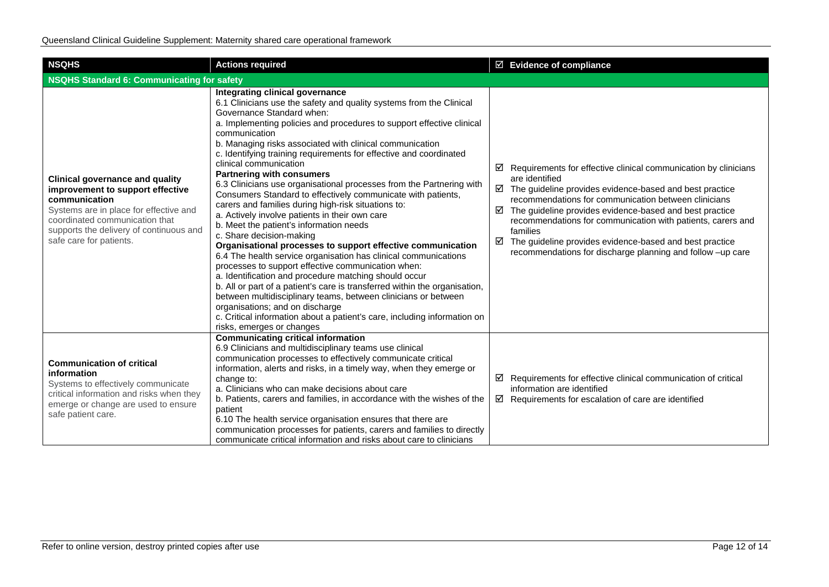| <b>NSQHS</b>                                                                                                                                                                                                                                  | <b>Actions required</b>                                                                                                                                                                                                                                                                                                                                                                                                                                                                                                                                                                                                                                                                                                                                                                                                                                                                                                                                                                                                                                                                                                                                                                                                                                                                            | ☑ Evidence of compliance                                                                                                                                                                                                                                                                                                                                                                                                                                                                                     |  |  |
|-----------------------------------------------------------------------------------------------------------------------------------------------------------------------------------------------------------------------------------------------|----------------------------------------------------------------------------------------------------------------------------------------------------------------------------------------------------------------------------------------------------------------------------------------------------------------------------------------------------------------------------------------------------------------------------------------------------------------------------------------------------------------------------------------------------------------------------------------------------------------------------------------------------------------------------------------------------------------------------------------------------------------------------------------------------------------------------------------------------------------------------------------------------------------------------------------------------------------------------------------------------------------------------------------------------------------------------------------------------------------------------------------------------------------------------------------------------------------------------------------------------------------------------------------------------|--------------------------------------------------------------------------------------------------------------------------------------------------------------------------------------------------------------------------------------------------------------------------------------------------------------------------------------------------------------------------------------------------------------------------------------------------------------------------------------------------------------|--|--|
| <b>NSQHS Standard 6: Communicating for safety</b>                                                                                                                                                                                             |                                                                                                                                                                                                                                                                                                                                                                                                                                                                                                                                                                                                                                                                                                                                                                                                                                                                                                                                                                                                                                                                                                                                                                                                                                                                                                    |                                                                                                                                                                                                                                                                                                                                                                                                                                                                                                              |  |  |
| <b>Clinical governance and quality</b><br>improvement to support effective<br>communication<br>Systems are in place for effective and<br>coordinated communication that<br>supports the delivery of continuous and<br>safe care for patients. | Integrating clinical governance<br>6.1 Clinicians use the safety and quality systems from the Clinical<br>Governance Standard when:<br>a. Implementing policies and procedures to support effective clinical<br>communication<br>b. Managing risks associated with clinical communication<br>c. Identifying training requirements for effective and coordinated<br>clinical communication<br><b>Partnering with consumers</b><br>6.3 Clinicians use organisational processes from the Partnering with<br>Consumers Standard to effectively communicate with patients,<br>carers and families during high-risk situations to:<br>a. Actively involve patients in their own care<br>b. Meet the patient's information needs<br>c. Share decision-making<br>Organisational processes to support effective communication<br>6.4 The health service organisation has clinical communications<br>processes to support effective communication when:<br>a. Identification and procedure matching should occur<br>b. All or part of a patient's care is transferred within the organisation,<br>between multidisciplinary teams, between clinicians or between<br>organisations; and on discharge<br>c. Critical information about a patient's care, including information on<br>risks, emerges or changes | $\boxtimes$ Requirements for effective clinical communication by clinicians<br>are identified<br>$\boxtimes$ The guideline provides evidence-based and best practice<br>recommendations for communication between clinicians<br>$\boxtimes$ The guideline provides evidence-based and best practice<br>recommendations for communication with patients, carers and<br>families<br>☑<br>The guideline provides evidence-based and best practice<br>recommendations for discharge planning and follow -up care |  |  |
| <b>Communication of critical</b><br>information<br>Systems to effectively communicate<br>critical information and risks when they<br>emerge or change are used to ensure<br>safe patient care.                                                | <b>Communicating critical information</b><br>6.9 Clinicians and multidisciplinary teams use clinical<br>communication processes to effectively communicate critical<br>information, alerts and risks, in a timely way, when they emerge or<br>change to:<br>a. Clinicians who can make decisions about care<br>b. Patients, carers and families, in accordance with the wishes of the<br>patient<br>6.10 The health service organisation ensures that there are<br>communication processes for patients, carers and families to directly<br>communicate critical information and risks about care to clinicians                                                                                                                                                                                                                                                                                                                                                                                                                                                                                                                                                                                                                                                                                    | $\boxtimes$ Requirements for effective clinical communication of critical<br>information are identified<br>$\boxtimes$ Requirements for escalation of care are identified                                                                                                                                                                                                                                                                                                                                    |  |  |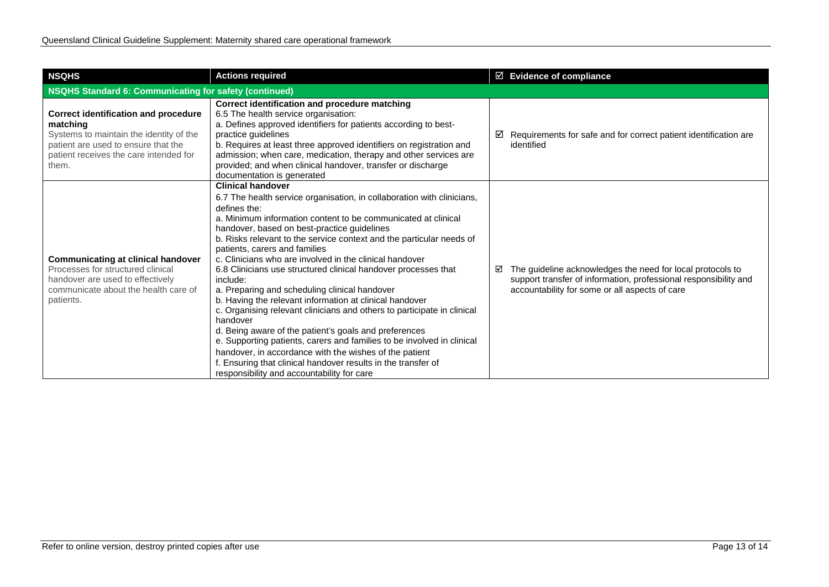| <b>NSQHS</b>                                                                                                                                                                                 | <b>Actions required</b>                                                                                                                                                                                                                                                                                                                                                                                                                                                                                                                                                                                                                                                                                                                                                                                                                                                                                                                                                                             | $\boxtimes$ Evidence of compliance                                                                                                                                                    |  |  |
|----------------------------------------------------------------------------------------------------------------------------------------------------------------------------------------------|-----------------------------------------------------------------------------------------------------------------------------------------------------------------------------------------------------------------------------------------------------------------------------------------------------------------------------------------------------------------------------------------------------------------------------------------------------------------------------------------------------------------------------------------------------------------------------------------------------------------------------------------------------------------------------------------------------------------------------------------------------------------------------------------------------------------------------------------------------------------------------------------------------------------------------------------------------------------------------------------------------|---------------------------------------------------------------------------------------------------------------------------------------------------------------------------------------|--|--|
| NSQHS Standard 6: Communicating for safety (continued)                                                                                                                                       |                                                                                                                                                                                                                                                                                                                                                                                                                                                                                                                                                                                                                                                                                                                                                                                                                                                                                                                                                                                                     |                                                                                                                                                                                       |  |  |
| <b>Correct identification and procedure</b><br>matching<br>Systems to maintain the identity of the<br>patient are used to ensure that the<br>patient receives the care intended for<br>them. | Correct identification and procedure matching<br>6.5 The health service organisation:<br>a. Defines approved identifiers for patients according to best-<br>practice guidelines<br>b. Requires at least three approved identifiers on registration and<br>admission; when care, medication, therapy and other services are<br>provided; and when clinical handover, transfer or discharge<br>documentation is generated                                                                                                                                                                                                                                                                                                                                                                                                                                                                                                                                                                             | Requirements for safe and for correct patient identification are<br>☑<br>identified                                                                                                   |  |  |
| <b>Communicating at clinical handover</b><br>Processes for structured clinical<br>handover are used to effectively<br>communicate about the health care of<br>patients.                      | <b>Clinical handover</b><br>6.7 The health service organisation, in collaboration with clinicians,<br>defines the:<br>a. Minimum information content to be communicated at clinical<br>handover, based on best-practice guidelines<br>b. Risks relevant to the service context and the particular needs of<br>patients, carers and families<br>c. Clinicians who are involved in the clinical handover<br>6.8 Clinicians use structured clinical handover processes that<br>include:<br>a. Preparing and scheduling clinical handover<br>b. Having the relevant information at clinical handover<br>c. Organising relevant clinicians and others to participate in clinical<br>handover<br>d. Being aware of the patient's goals and preferences<br>e. Supporting patients, carers and families to be involved in clinical<br>handover, in accordance with the wishes of the patient<br>f. Ensuring that clinical handover results in the transfer of<br>responsibility and accountability for care | The guideline acknowledges the need for local protocols to<br>☑<br>support transfer of information, professional responsibility and<br>accountability for some or all aspects of care |  |  |